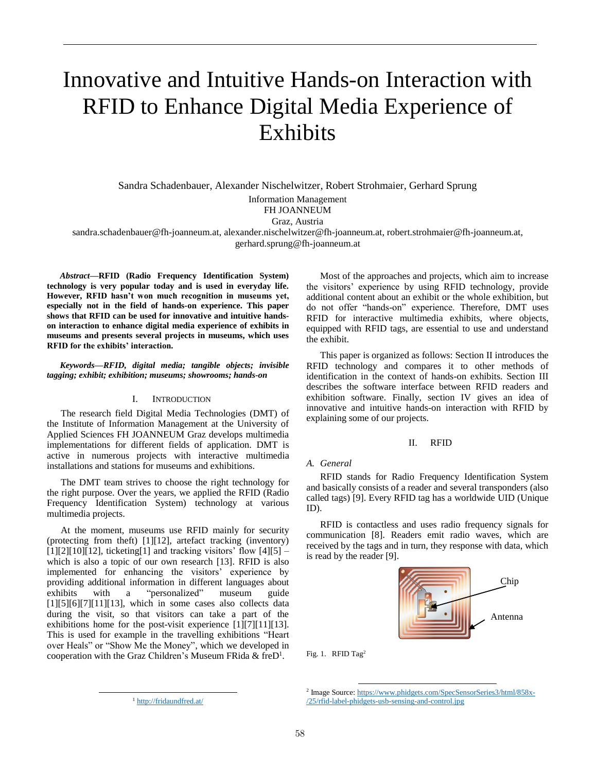# Innovative and Intuitive Hands-on Interaction with RFID to Enhance Digital Media Experience of Exhibits

Sandra Schadenbauer, Alexander Nischelwitzer, Robert Strohmaier, Gerhard Sprung

Information Management

FH JOANNEUM

Graz, Austria

sandra.schadenbauer@fh-joanneum.at, alexander.nischelwitzer@fh-joanneum.at, robert.strohmaier@fh-joanneum.at, gerhard.sprung@fh-joanneum.at

*Abstract***—RFID (Radio Frequency Identification System) technology is very popular today and is used in everyday life. However, RFID hasn't won much recognition in museums yet, especially not in the field of hands-on experience. This paper shows that RFID can be used for innovative and intuitive handson interaction to enhance digital media experience of exhibits in museums and presents several projects in museums, which uses RFID for the exhibits' interaction.**

*Keywords—RFID, digital media; tangible objects; invisible tagging; exhibit; exhibition; museums; showrooms; hands-on*

## I. INTRODUCTION

The research field Digital Media Technologies (DMT) of the Institute of Information Management at the University of Applied Sciences FH JOANNEUM Graz develops multimedia implementations for different fields of application. DMT is active in numerous projects with interactive multimedia installations and stations for museums and exhibitions.

The DMT team strives to choose the right technology for the right purpose. Over the years, we applied the RFID (Radio Frequency Identification System) technology at various multimedia projects.

At the moment, museums use RFID mainly for security (protecting from theft) [1][12], artefact tracking (inventory)  $[1][2][10][12]$ , ticketing $[1]$  and tracking visitors' flow  $[4][5]$  – which is also a topic of our own research [13]. RFID is also implemented for enhancing the visitors' experience by providing additional information in different languages about exhibits with a "personalized" museum guide [1][5][6][7][11][13], which in some cases also collects data during the visit, so that visitors can take a part of the exhibitions home for the post-visit experience [1][7][11][13]. This is used for example in the travelling exhibitions "Heart over Heals" or "Show Me the Money", which we developed in cooperation with the Graz Children's Museum FRida & freD<sup>1</sup>.

l

Most of the approaches and projects, which aim to increase the visitors' experience by using RFID technology, provide additional content about an exhibit or the whole exhibition, but do not offer "hands-on" experience. Therefore, DMT uses RFID for interactive multimedia exhibits, where objects, equipped with RFID tags, are essential to use and understand the exhibit.

This paper is organized as follows: Section II introduces the RFID technology and compares it to other methods of identification in the context of hands-on exhibits. Section III describes the software interface between RFID readers and exhibition software. Finally, section IV gives an idea of innovative and intuitive hands-on interaction with RFID by explaining some of our projects.

## II. RFID

# *A. General*

RFID stands for Radio Frequency Identification System and basically consists of a reader and several transponders (also called tags) [9]. Every RFID tag has a worldwide UID (Unique ID).

RFID is contactless and uses radio frequency signals for communication [8]. Readers emit radio waves, which are received by the tags and in turn, they response with data, which is read by the reader [9].



Fig. 1. RFID Tag<sup>2</sup>

 $\overline{a}$ <sup>2</sup> Image Source: https://www.phidgets.com/SpecSensorSeries3/html/858x-/25/rfid-label-phidgets-usb-sensing-and-control.jpg

<sup>&</sup>lt;sup>1</sup> http://fridaundfred.at/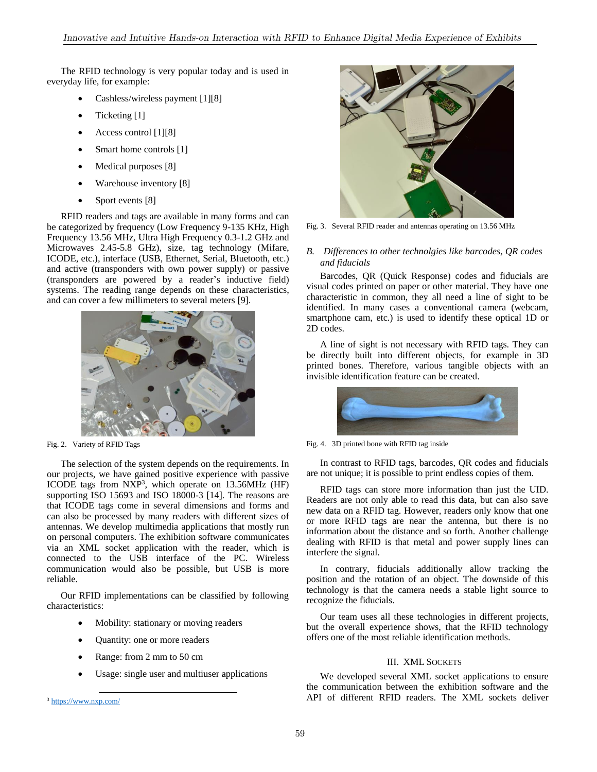The RFID technology is very popular today and is used in everyday life, for example:

- Cashless/wireless payment [1][8]
- Ticketing [1]
- Access control [1][8]
- Smart home controls [1]
- Medical purposes [8]
- Warehouse inventory [8]
- Sport events [8]

RFID readers and tags are available in many forms and can be categorized by frequency (Low Frequency 9-135 KHz, High Frequency 13.56 MHz, Ultra High Frequency 0.3-1.2 GHz and Microwaves 2.45-5.8 GHz), size, tag technology (Mifare, ICODE, etc.), interface (USB, Ethernet, Serial, Bluetooth, etc.) and active (transponders with own power supply) or passive (transponders are powered by a reader's inductive field) systems. The reading range depends on these characteristics, and can cover a few millimeters to several meters [9].



Fig. 2. Variety of RFID Tags

The selection of the system depends on the requirements. In our projects, we have gained positive experience with passive ICODE tags from NXP<sup>3</sup> , which operate on 13.56MHz (HF) supporting ISO 15693 and ISO 18000-3 [14]. The reasons are that ICODE tags come in several dimensions and forms and can also be processed by many readers with different sizes of antennas. We develop multimedia applications that mostly run on personal computers. The exhibition software communicates via an XML socket application with the reader, which is connected to the USB interface of the PC. Wireless communication would also be possible, but USB is more reliable.

Our RFID implementations can be classified by following characteristics:

- Mobility: stationary or moving readers
- Quantity: one or more readers
- Range: from 2 mm to 50 cm
- Usage: single user and multiuser applications

l



Fig. 3. Several RFID reader and antennas operating on 13.56 MHz

# *B. Differences to other technolgies like barcodes, QR codes and fiducials*

Barcodes, QR (Quick Response) codes and fiducials are visual codes printed on paper or other material. They have one characteristic in common, they all need a line of sight to be identified. In many cases a conventional camera (webcam, smartphone cam, etc.) is used to identify these optical 1D or 2D codes.

A line of sight is not necessary with RFID tags. They can be directly built into different objects, for example in 3D printed bones. Therefore, various tangible objects with an invisible identification feature can be created.



Fig. 4. 3D printed bone with RFID tag inside

In contrast to RFID tags, barcodes, QR codes and fiducials are not unique; it is possible to print endless copies of them.

RFID tags can store more information than just the UID. Readers are not only able to read this data, but can also save new data on a RFID tag. However, readers only know that one or more RFID tags are near the antenna, but there is no information about the distance and so forth. Another challenge dealing with RFID is that metal and power supply lines can interfere the signal.

In contrary, fiducials additionally allow tracking the position and the rotation of an object. The downside of this technology is that the camera needs a stable light source to recognize the fiducials.

Our team uses all these technologies in different projects, but the overall experience shows, that the RFID technology offers one of the most reliable identification methods.

# III. XML SOCKETS

We developed several XML socket applications to ensure the communication between the exhibition software and the API of different RFID readers. The XML sockets deliver

<sup>3</sup> https://www.nxp.com/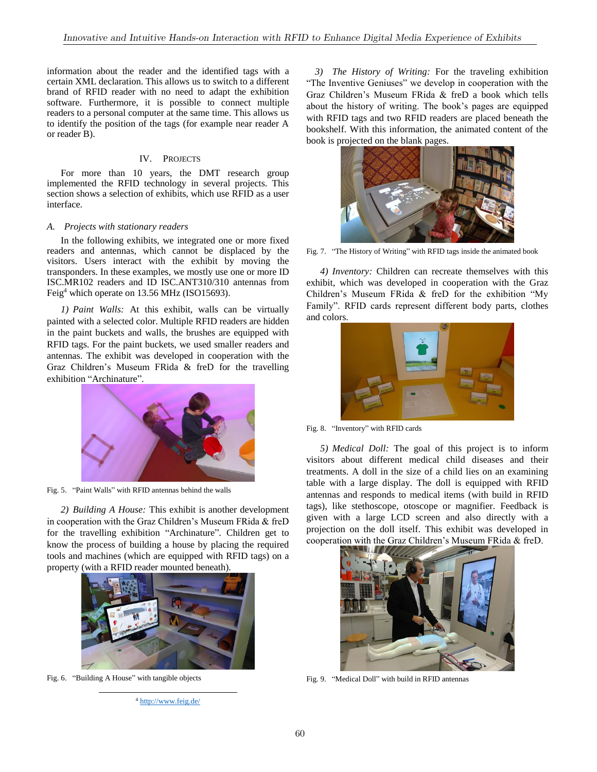information about the reader and the identified tags with a certain XML declaration. This allows us to switch to a different brand of RFID reader with no need to adapt the exhibition software. Furthermore, it is possible to connect multiple readers to a personal computer at the same time. This allows us to identify the position of the tags (for example near reader A or reader B).

## IV. PROJECTS

For more than 10 years, the DMT research group implemented the RFID technology in several projects. This section shows a selection of exhibits, which use RFID as a user interface.

## *A. Projects with stationary readers*

In the following exhibits, we integrated one or more fixed readers and antennas, which cannot be displaced by the visitors. Users interact with the exhibit by moving the transponders. In these examples, we mostly use one or more ID ISC.MR102 readers and ID ISC.ANT310/310 antennas from Feig<sup>4</sup> which operate on 13.56 MHz (ISO15693).

*1) Paint Walls:* At this exhibit, walls can be virtually painted with a selected color. Multiple RFID readers are hidden in the paint buckets and walls, the brushes are equipped with RFID tags. For the paint buckets, we used smaller readers and antennas. The exhibit was developed in cooperation with the Graz Children's Museum FRida & freD for the travelling exhibition "Archinature".



Fig. 5. "Paint Walls" with RFID antennas behind the walls

*2) Building A House:* This exhibit is another development in cooperation with the Graz Children's Museum FRida & freD for the travelling exhibition "Archinature". Children get to know the process of building a house by placing the required tools and machines (which are equipped with RFID tags) on a property (with a RFID reader mounted beneath).



Fig. 6. "Building A House" with tangible objects

l



*3) The History of Writing:* For the traveling exhibition "The Inventive Geniuses" we develop in cooperation with the Graz Children's Museum FRida & freD a book which tells about the history of writing. The book's pages are equipped with RFID tags and two RFID readers are placed beneath the bookshelf. With this information, the animated content of the book is projected on the blank pages.



Fig. 7. "The History of Writing" with RFID tags inside the animated book

*4) Inventory:* Children can recreate themselves with this exhibit, which was developed in cooperation with the Graz Children's Museum FRida & freD for the exhibition "My Family". RFID cards represent different body parts, clothes and colors.



Fig. 8. "Inventory" with RFID cards

*5) Medical Doll:* The goal of this project is to inform visitors about different medical child diseases and their treatments. A doll in the size of a child lies on an examining table with a large display. The doll is equipped with RFID antennas and responds to medical items (with build in RFID tags), like stethoscope, otoscope or magnifier. Feedback is given with a large LCD screen and also directly with a projection on the doll itself. This exhibit was developed in cooperation with the Graz Children's Museum FRida & freD.



Fig. 9. "Medical Doll" with build in RFID antennas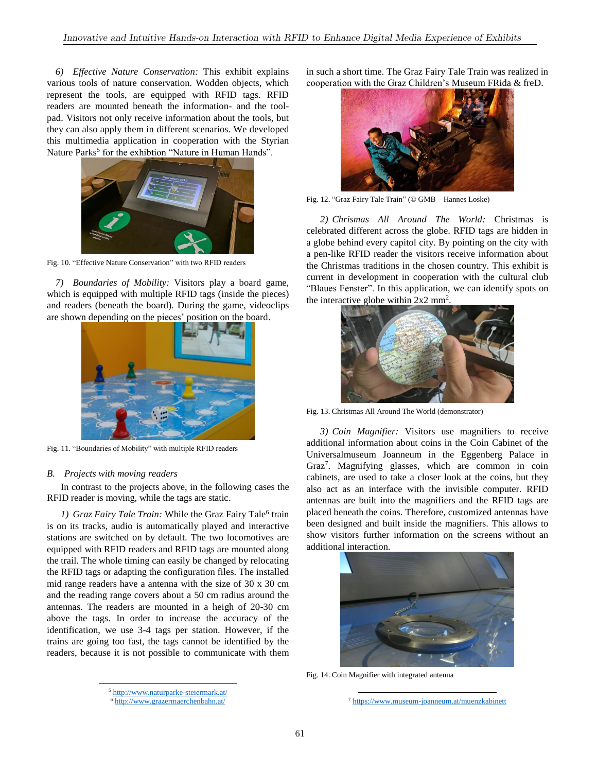*6) Effective Nature Conservation:* This exhibit explains various tools of nature conservation. Wodden objects, which represent the tools, are equipped with RFID tags. RFID readers are mounted beneath the information- and the toolpad. Visitors not only receive information about the tools, but they can also apply them in different scenarios. We developed this multimedia application in cooperation with the Styrian Nature Parks<sup>5</sup> for the exhibtion "Nature in Human Hands".



Fig. 10. "Effective Nature Conservation" with two RFID readers

*7) Boundaries of Mobility:* Visitors play a board game, which is equipped with multiple RFID tags (inside the pieces) and readers (beneath the board). During the game, videoclips are shown depending on the pieces' position on the board.



Fig. 11. "Boundaries of Mobility" with multiple RFID readers

# *B. Projects with moving readers*

l

In contrast to the projects above, in the following cases the RFID reader is moving, while the tags are static.

1) Graz Fairy Tale Train: While the Graz Fairy Tale<sup>6</sup> train is on its tracks, audio is automatically played and interactive stations are switched on by default. The two locomotives are equipped with RFID readers and RFID tags are mounted along the trail. The whole timing can easily be changed by relocating the RFID tags or adapting the configuration files. The installed mid range readers have a antenna with the size of 30 x 30 cm and the reading range covers about a 50 cm radius around the antennas. The readers are mounted in a heigh of 20-30 cm above the tags. In order to increase the accuracy of the identification, we use 3-4 tags per station. However, if the trains are going too fast, the tags cannot be identified by the readers, because it is not possible to communicate with them

in such a short time. The Graz Fairy Tale Train was realized in cooperation with the Graz Children's Museum FRida & freD.



Fig. 12. "Graz Fairy Tale Train" (© GMB – Hannes Loske)

*2) Chrismas All Around The World:* Christmas is celebrated different across the globe. RFID tags are hidden in a globe behind every capitol city. By pointing on the city with a pen-like RFID reader the visitors receive information about the Christmas traditions in the chosen country. This exhibit is current in development in cooperation with the cultural club "Blaues Fenster". In this application, we can identify spots on the interactive globe within  $2x2$  mm<sup>2</sup> .



Fig. 13. Christmas All Around The World (demonstrator)

*3) Coin Magnifier:* Visitors use magnifiers to receive additional information about coins in the Coin Cabinet of the Universalmuseum Joanneum in the Eggenberg Palace in Graz<sup>7</sup> . Magnifying glasses, which are common in coin cabinets, are used to take a closer look at the coins, but they also act as an interface with the invisible computer. RFID antennas are built into the magnifiers and the RFID tags are placed beneath the coins. Therefore, customized antennas have been designed and built inside the magnifiers. This allows to show visitors further information on the screens without an additional interaction.



Fig. 14. Coin Magnifier with integrated antenna

 $\overline{a}$ 

<sup>7</sup> https://www.museum-joanneum.at/muenzkabinett

<sup>5</sup> http://www.naturparke-steiermark.at/

<sup>6</sup> http://www.grazermaerchenbahn.at/